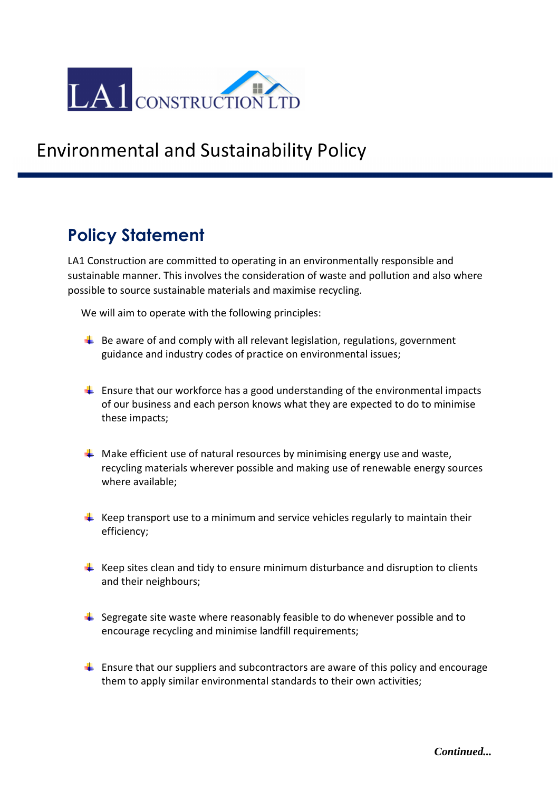

## Environmental and Sustainability Policy

### **Policy Statement**

LA1 Construction are committed to operating in an environmentally responsible and sustainable manner. This involves the consideration of waste and pollution and also where possible to source sustainable materials and maximise recycling.

We will aim to operate with the following principles:

- $\ddot{\bullet}$  Be aware of and comply with all relevant legislation, regulations, government guidance and industry codes of practice on environmental issues;
- $\downarrow$  Ensure that our workforce has a good understanding of the environmental impacts of our business and each person knows what they are expected to do to minimise these impacts;
- $\downarrow$  Make efficient use of natural resources by minimising energy use and waste, recycling materials wherever possible and making use of renewable energy sources where available;
- $\downarrow$  Keep transport use to a minimum and service vehicles regularly to maintain their efficiency;
- $\downarrow$  Keep sites clean and tidy to ensure minimum disturbance and disruption to clients and their neighbours;
- $\ddot{+}$  Segregate site waste where reasonably feasible to do whenever possible and to encourage recycling and minimise landfill requirements;
- $\ddot{\phantom{1}}$  Ensure that our suppliers and subcontractors are aware of this policy and encourage them to apply similar environmental standards to their own activities;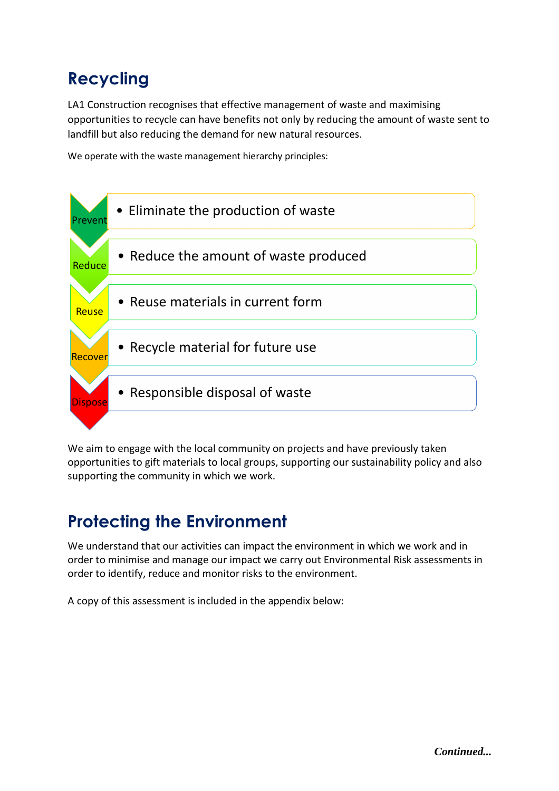# **Recycling**

LA1 Construction recognises that effective management of waste and maximising opportunities to recycle can have benefits not only by reducing the amount of waste sent to landfill but also reducing the demand for new natural resources.

We operate with the waste management hierarchy principles:



We aim to engage with the local community on projects and have previously taken opportunities to gift materials to local groups, supporting our sustainability policy and also supporting the community in which we work.

### **Protecting the Environment**

We understand that our activities can impact the environment in which we work and in order to minimise and manage our impact we carry out Environmental Risk assessments in order to identify, reduce and monitor risks to the environment.

A copy of this assessment is included in the appendix below: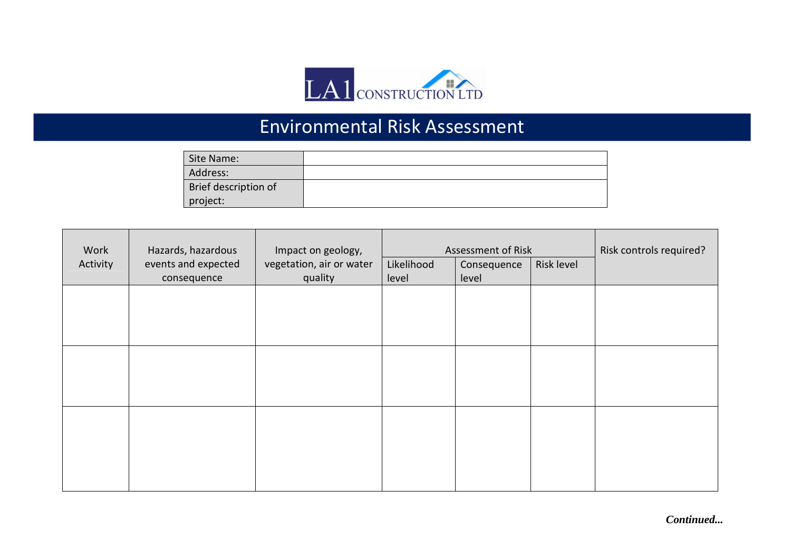

# Environmental Risk Assessment

| Site Name:           |  |
|----------------------|--|
| Address:             |  |
| Brief description of |  |
| project:             |  |

| Work     | Hazards, hazardous  | Impact on geology,       | Assessment of Risk |             |            | Risk controls required? |
|----------|---------------------|--------------------------|--------------------|-------------|------------|-------------------------|
| Activity | events and expected | vegetation, air or water | Likelihood         | Consequence | Risk level |                         |
|          | consequence         | quality                  | level              | level       |            |                         |
|          |                     |                          |                    |             |            |                         |
|          |                     |                          |                    |             |            |                         |
|          |                     |                          |                    |             |            |                         |
|          |                     |                          |                    |             |            |                         |
|          |                     |                          |                    |             |            |                         |
|          |                     |                          |                    |             |            |                         |
|          |                     |                          |                    |             |            |                         |
|          |                     |                          |                    |             |            |                         |
|          |                     |                          |                    |             |            |                         |
|          |                     |                          |                    |             |            |                         |
|          |                     |                          |                    |             |            |                         |
|          |                     |                          |                    |             |            |                         |
|          |                     |                          |                    |             |            |                         |

*Continued...*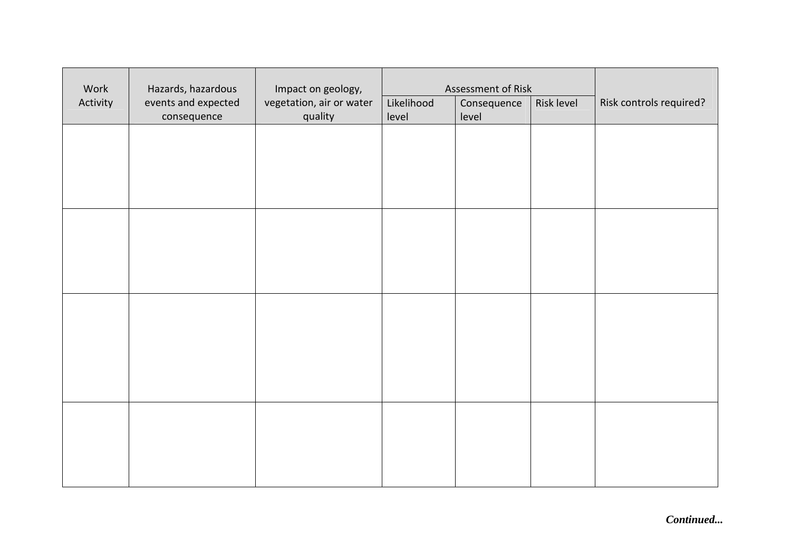| Work     | Hazards, hazardous                 | Impact on geology,                  | Assessment of Risk  |                      |            |                         |
|----------|------------------------------------|-------------------------------------|---------------------|----------------------|------------|-------------------------|
| Activity | events and expected<br>consequence | vegetation, air or water<br>quality | Likelihood<br>level | Consequence<br>level | Risk level | Risk controls required? |
|          |                                    |                                     |                     |                      |            |                         |
|          |                                    |                                     |                     |                      |            |                         |
|          |                                    |                                     |                     |                      |            |                         |
|          |                                    |                                     |                     |                      |            |                         |
|          |                                    |                                     |                     |                      |            |                         |
|          |                                    |                                     |                     |                      |            |                         |
|          |                                    |                                     |                     |                      |            |                         |
|          |                                    |                                     |                     |                      |            |                         |
|          |                                    |                                     |                     |                      |            |                         |
|          |                                    |                                     |                     |                      |            |                         |
|          |                                    |                                     |                     |                      |            |                         |
|          |                                    |                                     |                     |                      |            |                         |
|          |                                    |                                     |                     |                      |            |                         |

*Continued...*